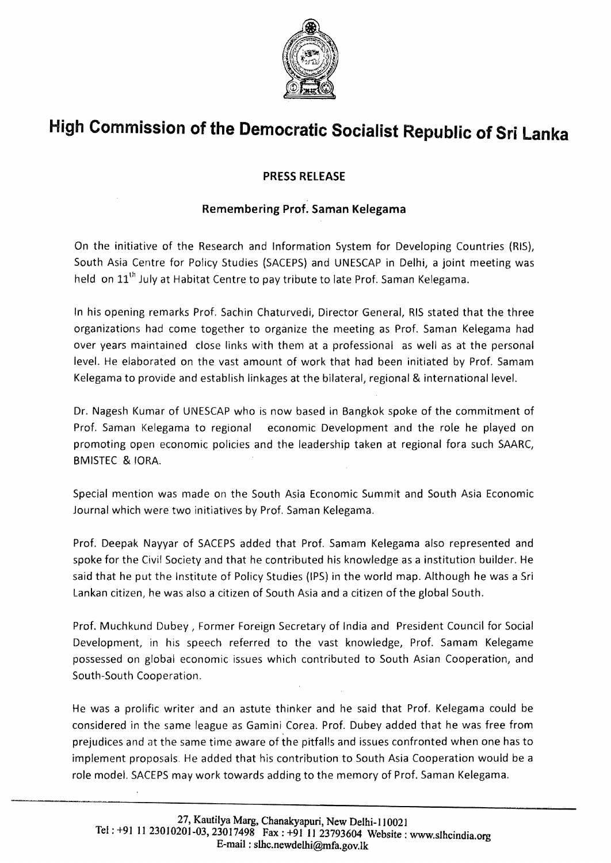

## **High Commission of the Democratic Socialist Republic of Sri Lanka**

## **PRESS RELEASE**

## **Remembering Prof. Saman Kelegama**

On the initiative of the Research and Information System for Developing Countries (RIS), South Asia Centre for Policy Studies (SACEPS) and UNESCAP in Delhi, a joint meeting was held on 11<sup>th</sup> July at Habitat Centre to pay tribute to late Prof. Saman Kelegama.

In his opening remarks Prof. Sachin Chaturvedi, Director General, RIS stated that the three organizations had come together to organize the meeting as Prof. Saman Kelegama had over years maintained close links with them at a professional as well as at the personal level. He elaborated on the vast amount of work that had been initiated by Prof. Samam Kelegama to provide and establish linkages at the bilateral, regional & international level.

Dr. Nagesh Kumar of UNESCAP who is now based in Bangkok spoke of the commitment of Prof. Saman Kelegama to regional economic Development and the role he played on promoting open economic policies and the leadership taken at regional fora such SAARC, BMISTEC & lORA.

Special mention was made on the South Asia Economic Summit and South Asia Economic Journal which were two initiatives by Prof. Saman Kelegama.

Prof. Deepak Nayyar of SACEPS added that Prof. Samam Kelegama also represented and spoke for the Civil Society and that he contributed his knowledge as a institution builder. He said that he put the Institute of Policy Studies (IPS) in the world map. Although he was a Sri Lankan citizen, he was also a citizen of South Asia and a citizen of the global South.

Prof. Muchkund Dubey, Former Foreign Secretary of India and President Council for Social Development, in his speech referred to the vast knowledge, Prof. Samam Kelegame possessed on global economic issues which contributed to South Asian Cooperation, and South-South Cooperation.

He was a prolific writer and an astute thinker and he said that Prof. Kelegama could be considered in the same league as Gamini Corea. Prof. Dubey added that he was free from prejudices and at the same time aware of the pitfalls and issues confronted when one has to implement proposals. He added that his contribution to South Asia Cooperation would be a role model. SACEPS may work towards adding to the memory of Prof. Saman Kelegama.